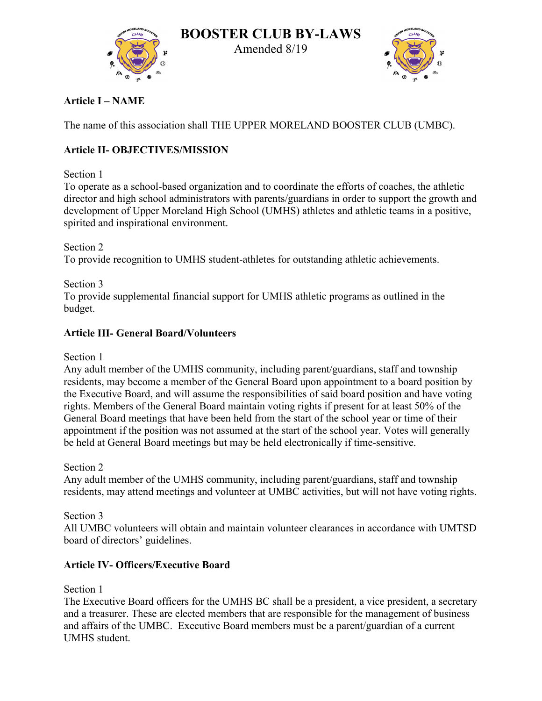

**BOOSTER CLUB BY-LAWS**  Amended 8/19



**Article I – NAME**

The name of this association shall THE UPPER MORELAND BOOSTER CLUB (UMBC).

# **Article II- OBJECTIVES/MISSION**

## Section 1

To operate as a school-based organization and to coordinate the efforts of coaches, the athletic director and high school administrators with parents/guardians in order to support the growth and development of Upper Moreland High School (UMHS) athletes and athletic teams in a positive, spirited and inspirational environment.

Section 2 To provide recognition to UMHS student-athletes for outstanding athletic achievements.

Section 3 To provide supplemental financial support for UMHS athletic programs as outlined in the budget.

## **Article III- General Board/Volunteers**

Section 1

Any adult member of the UMHS community, including parent/guardians, staff and township residents, may become a member of the General Board upon appointment to a board position by the Executive Board, and will assume the responsibilities of said board position and have voting rights. Members of the General Board maintain voting rights if present for at least 50% of the General Board meetings that have been held from the start of the school year or time of their appointment if the position was not assumed at the start of the school year. Votes will generally be held at General Board meetings but may be held electronically if time-sensitive.

Section 2

Any adult member of the UMHS community, including parent/guardians, staff and township residents, may attend meetings and volunteer at UMBC activities, but will not have voting rights.

Section 3

All UMBC volunteers will obtain and maintain volunteer clearances in accordance with UMTSD board of directors' guidelines.

## **Article IV- Officers/Executive Board**

Section 1

The Executive Board officers for the UMHS BC shall be a president, a vice president, a secretary and a treasurer. These are elected members that are responsible for the management of business and affairs of the UMBC. Executive Board members must be a parent/guardian of a current UMHS student.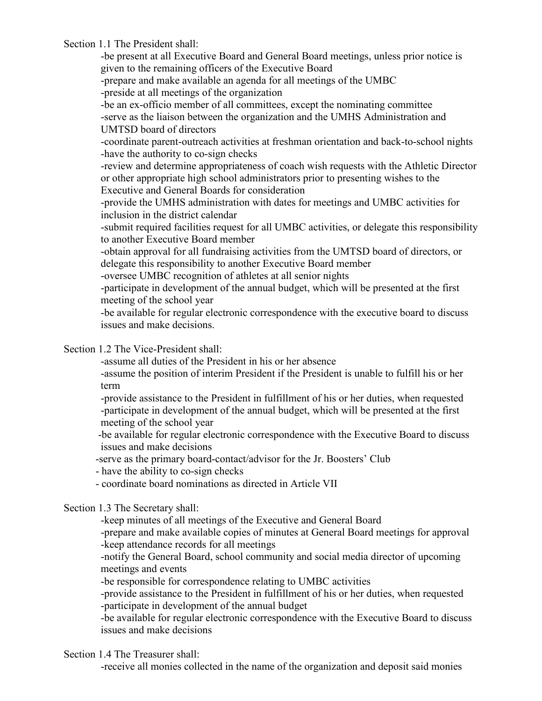Section 1.1 The President shall:

-be present at all Executive Board and General Board meetings, unless prior notice is given to the remaining officers of the Executive Board -prepare and make available an agenda for all meetings of the UMBC -preside at all meetings of the organization -be an ex-officio member of all committees, except the nominating committee -serve as the liaison between the organization and the UMHS Administration and UMTSD board of directors -coordinate parent-outreach activities at freshman orientation and back-to-school nights -have the authority to co-sign checks -review and determine appropriateness of coach wish requests with the Athletic Director or other appropriate high school administrators prior to presenting wishes to the Executive and General Boards for consideration -provide the UMHS administration with dates for meetings and UMBC activities for inclusion in the district calendar -submit required facilities request for all UMBC activities, or delegate this responsibility to another Executive Board member -obtain approval for all fundraising activities from the UMTSD board of directors, or delegate this responsibility to another Executive Board member -oversee UMBC recognition of athletes at all senior nights -participate in development of the annual budget, which will be presented at the first meeting of the school year -be available for regular electronic correspondence with the executive board to discuss issues and make decisions.

Section 1.2 The Vice-President shall:

-assume all duties of the President in his or her absence

-assume the position of interim President if the President is unable to fulfill his or her term

-provide assistance to the President in fulfillment of his or her duties, when requested -participate in development of the annual budget, which will be presented at the first meeting of the school year

-be available for regular electronic correspondence with the Executive Board to discuss issues and make decisions

-serve as the primary board-contact/advisor for the Jr. Boosters' Club

- have the ability to co-sign checks

- coordinate board nominations as directed in Article VII

Section 1.3 The Secretary shall:

-keep minutes of all meetings of the Executive and General Board

-prepare and make available copies of minutes at General Board meetings for approval -keep attendance records for all meetings

-notify the General Board, school community and social media director of upcoming meetings and events

-be responsible for correspondence relating to UMBC activities

-provide assistance to the President in fulfillment of his or her duties, when requested -participate in development of the annual budget

-be available for regular electronic correspondence with the Executive Board to discuss issues and make decisions

Section 1.4 The Treasurer shall:

-receive all monies collected in the name of the organization and deposit said monies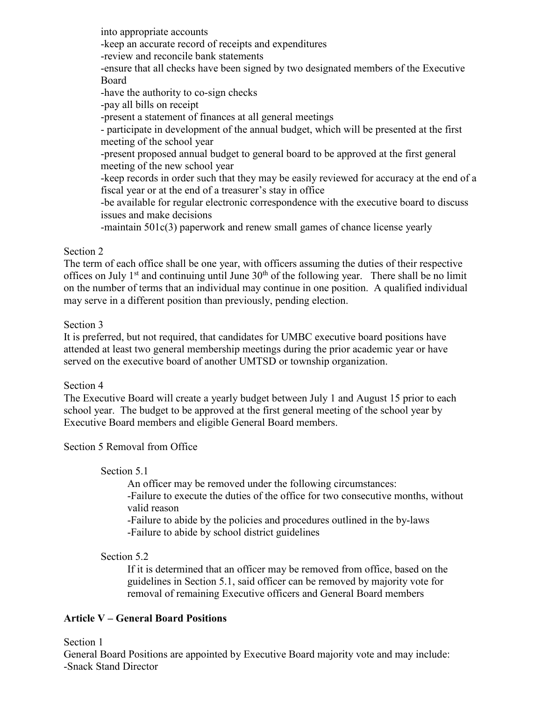into appropriate accounts -keep an accurate record of receipts and expenditures -review and reconcile bank statements -ensure that all checks have been signed by two designated members of the Executive Board -have the authority to co-sign checks -pay all bills on receipt -present a statement of finances at all general meetings - participate in development of the annual budget, which will be presented at the first meeting of the school year -present proposed annual budget to general board to be approved at the first general meeting of the new school year -keep records in order such that they may be easily reviewed for accuracy at the end of a fiscal year or at the end of a treasurer's stay in office -be available for regular electronic correspondence with the executive board to discuss issues and make decisions -maintain 501c(3) paperwork and renew small games of chance license yearly

## Section 2

The term of each office shall be one year, with officers assuming the duties of their respective offices on July 1<sup>st</sup> and continuing until June  $30<sup>th</sup>$  of the following year. There shall be no limit on the number of terms that an individual may continue in one position. A qualified individual may serve in a different position than previously, pending election.

#### Section 3

It is preferred, but not required, that candidates for UMBC executive board positions have attended at least two general membership meetings during the prior academic year or have served on the executive board of another UMTSD or township organization.

## Section 4

The Executive Board will create a yearly budget between July 1 and August 15 prior to each school year. The budget to be approved at the first general meeting of the school year by Executive Board members and eligible General Board members.

Section 5 Removal from Office

## Section 5.1

An officer may be removed under the following circumstances: -Failure to execute the duties of the office for two consecutive months, without valid reason

-Failure to abide by the policies and procedures outlined in the by-laws -Failure to abide by school district guidelines

## Section 5.2

If it is determined that an officer may be removed from office, based on the guidelines in Section 5.1, said officer can be removed by majority vote for removal of remaining Executive officers and General Board members

## **Article V – General Board Positions**

Section 1

General Board Positions are appointed by Executive Board majority vote and may include: -Snack Stand Director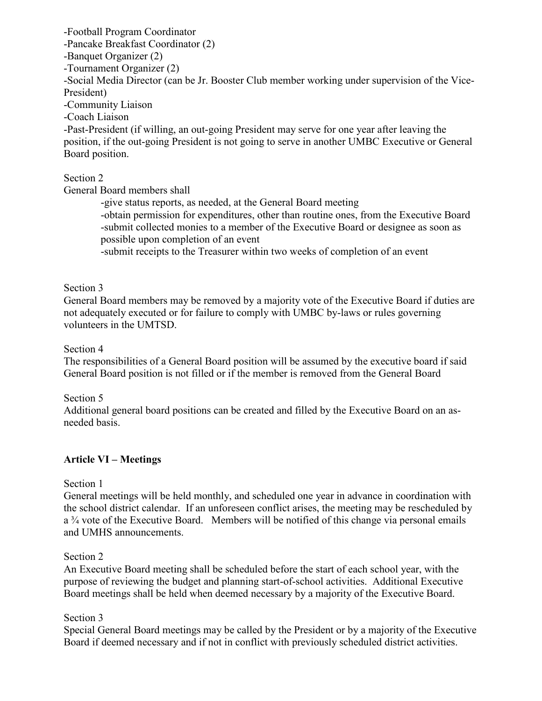-Football Program Coordinator -Pancake Breakfast Coordinator (2) -Banquet Organizer (2) -Tournament Organizer (2) -Social Media Director (can be Jr. Booster Club member working under supervision of the Vice-President) -Community Liaison -Coach Liaison -Past-President (if willing, an out-going President may serve for one year after leaving the position, if the out-going President is not going to serve in another UMBC Executive or General Board position.

Section 2

General Board members shall

-give status reports, as needed, at the General Board meeting -obtain permission for expenditures, other than routine ones, from the Executive Board -submit collected monies to a member of the Executive Board or designee as soon as possible upon completion of an event

-submit receipts to the Treasurer within two weeks of completion of an event

#### Section 3

General Board members may be removed by a majority vote of the Executive Board if duties are not adequately executed or for failure to comply with UMBC by-laws or rules governing volunteers in the UMTSD.

#### Section 4

The responsibilities of a General Board position will be assumed by the executive board if said General Board position is not filled or if the member is removed from the General Board

Section 5

Additional general board positions can be created and filled by the Executive Board on an asneeded basis.

## **Article VI – Meetings**

## Section 1

General meetings will be held monthly, and scheduled one year in advance in coordination with the school district calendar. If an unforeseen conflict arises, the meeting may be rescheduled by a ¾ vote of the Executive Board. Members will be notified of this change via personal emails and UMHS announcements.

## Section 2

An Executive Board meeting shall be scheduled before the start of each school year, with the purpose of reviewing the budget and planning start-of-school activities. Additional Executive Board meetings shall be held when deemed necessary by a majority of the Executive Board.

#### Section 3

Special General Board meetings may be called by the President or by a majority of the Executive Board if deemed necessary and if not in conflict with previously scheduled district activities.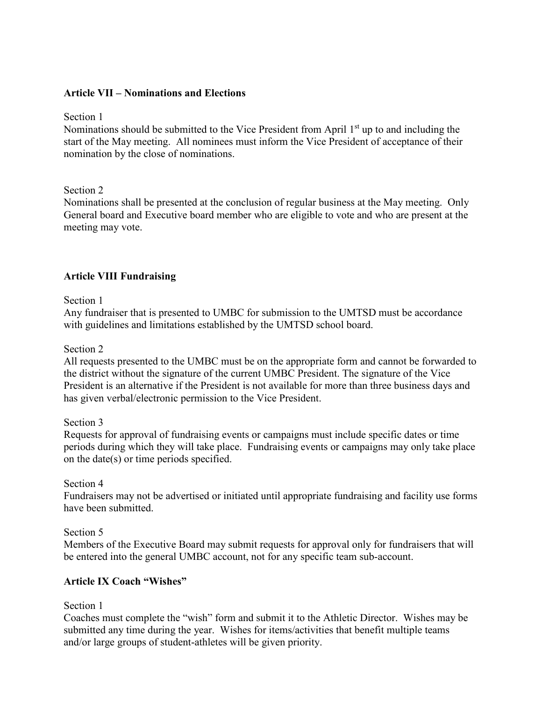#### **Article VII – Nominations and Elections**

Section 1

Nominations should be submitted to the Vice President from April  $1<sup>st</sup>$  up to and including the start of the May meeting. All nominees must inform the Vice President of acceptance of their nomination by the close of nominations.

Section 2

Nominations shall be presented at the conclusion of regular business at the May meeting. Only General board and Executive board member who are eligible to vote and who are present at the meeting may vote.

#### **Article VIII Fundraising**

Section 1

Any fundraiser that is presented to UMBC for submission to the UMTSD must be accordance with guidelines and limitations established by the UMTSD school board.

Section 2

All requests presented to the UMBC must be on the appropriate form and cannot be forwarded to the district without the signature of the current UMBC President. The signature of the Vice President is an alternative if the President is not available for more than three business days and has given verbal/electronic permission to the Vice President.

Section 3

Requests for approval of fundraising events or campaigns must include specific dates or time periods during which they will take place. Fundraising events or campaigns may only take place on the date(s) or time periods specified.

Section 4

Fundraisers may not be advertised or initiated until appropriate fundraising and facility use forms have been submitted.

Section 5

Members of the Executive Board may submit requests for approval only for fundraisers that will be entered into the general UMBC account, not for any specific team sub-account.

#### **Article IX Coach "Wishes"**

Section 1

Coaches must complete the "wish" form and submit it to the Athletic Director. Wishes may be submitted any time during the year. Wishes for items/activities that benefit multiple teams and/or large groups of student-athletes will be given priority.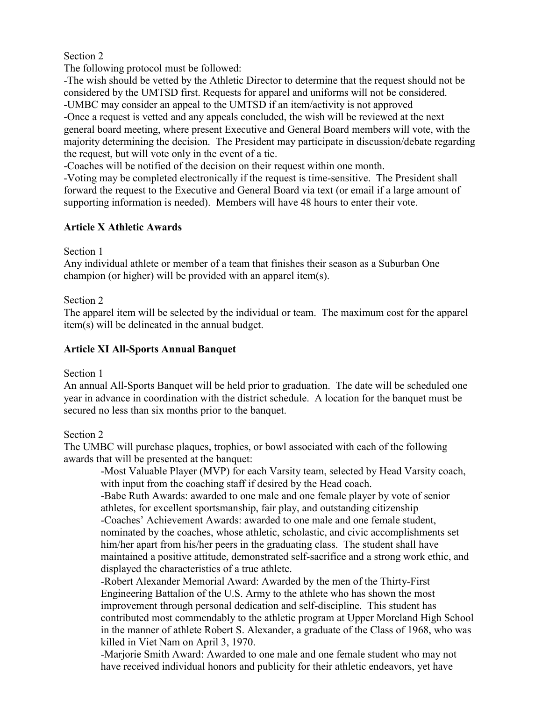## Section 2

The following protocol must be followed:

-The wish should be vetted by the Athletic Director to determine that the request should not be considered by the UMTSD first. Requests for apparel and uniforms will not be considered. -UMBC may consider an appeal to the UMTSD if an item/activity is not approved

-Once a request is vetted and any appeals concluded, the wish will be reviewed at the next general board meeting, where present Executive and General Board members will vote, with the majority determining the decision. The President may participate in discussion/debate regarding the request, but will vote only in the event of a tie.

-Coaches will be notified of the decision on their request within one month.

-Voting may be completed electronically if the request is time-sensitive. The President shall forward the request to the Executive and General Board via text (or email if a large amount of supporting information is needed). Members will have 48 hours to enter their vote.

## **Article X Athletic Awards**

Section 1

Any individual athlete or member of a team that finishes their season as a Suburban One champion (or higher) will be provided with an apparel item(s).

## Section 2

The apparel item will be selected by the individual or team. The maximum cost for the apparel item(s) will be delineated in the annual budget.

## **Article XI All-Sports Annual Banquet**

Section 1

An annual All-Sports Banquet will be held prior to graduation. The date will be scheduled one year in advance in coordination with the district schedule. A location for the banquet must be secured no less than six months prior to the banquet.

## Section 2

The UMBC will purchase plaques, trophies, or bowl associated with each of the following awards that will be presented at the banquet:

-Most Valuable Player (MVP) for each Varsity team, selected by Head Varsity coach, with input from the coaching staff if desired by the Head coach.

-Babe Ruth Awards: awarded to one male and one female player by vote of senior athletes, for excellent sportsmanship, fair play, and outstanding citizenship

-Coaches' Achievement Awards: awarded to one male and one female student, nominated by the coaches, whose athletic, scholastic, and civic accomplishments set him/her apart from his/her peers in the graduating class. The student shall have maintained a positive attitude, demonstrated self-sacrifice and a strong work ethic, and displayed the characteristics of a true athlete.

-Robert Alexander Memorial Award: Awarded by the men of the Thirty-First Engineering Battalion of the U.S. Army to the athlete who has shown the most improvement through personal dedication and self-discipline. This student has contributed most commendably to the athletic program at Upper Moreland High School in the manner of athlete Robert S. Alexander, a graduate of the Class of 1968, who was killed in Viet Nam on April 3, 1970.

-Marjorie Smith Award: Awarded to one male and one female student who may not have received individual honors and publicity for their athletic endeavors, yet have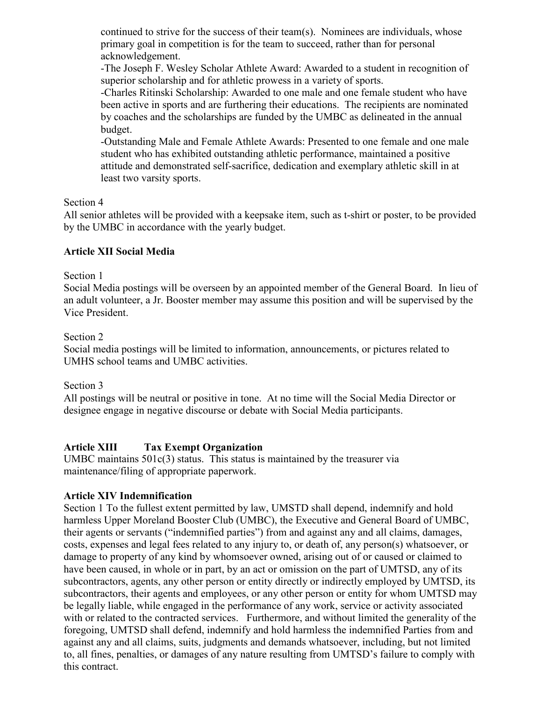continued to strive for the success of their team(s). Nominees are individuals, whose primary goal in competition is for the team to succeed, rather than for personal acknowledgement.

-The Joseph F. Wesley Scholar Athlete Award: Awarded to a student in recognition of superior scholarship and for athletic prowess in a variety of sports.

-Charles Ritinski Scholarship: Awarded to one male and one female student who have been active in sports and are furthering their educations. The recipients are nominated by coaches and the scholarships are funded by the UMBC as delineated in the annual budget.

-Outstanding Male and Female Athlete Awards: Presented to one female and one male student who has exhibited outstanding athletic performance, maintained a positive attitude and demonstrated self-sacrifice, dedication and exemplary athletic skill in at least two varsity sports.

## Section 4

All senior athletes will be provided with a keepsake item, such as t-shirt or poster, to be provided by the UMBC in accordance with the yearly budget.

## **Article XII Social Media**

## Section 1

Social Media postings will be overseen by an appointed member of the General Board. In lieu of an adult volunteer, a Jr. Booster member may assume this position and will be supervised by the Vice President.

## Section 2

Social media postings will be limited to information, announcements, or pictures related to UMHS school teams and UMBC activities.

## Section 3

All postings will be neutral or positive in tone. At no time will the Social Media Director or designee engage in negative discourse or debate with Social Media participants.

## **Article XIII Tax Exempt Organization**

UMBC maintains 501c(3) status. This status is maintained by the treasurer via maintenance/filing of appropriate paperwork.

## **Article XIV Indemnification**

Section 1 To the fullest extent permitted by law, UMSTD shall depend, indemnify and hold harmless Upper Moreland Booster Club (UMBC), the Executive and General Board of UMBC, their agents or servants ("indemnified parties") from and against any and all claims, damages, costs, expenses and legal fees related to any injury to, or death of, any person(s) whatsoever, or damage to property of any kind by whomsoever owned, arising out of or caused or claimed to have been caused, in whole or in part, by an act or omission on the part of UMTSD, any of its subcontractors, agents, any other person or entity directly or indirectly employed by UMTSD, its subcontractors, their agents and employees, or any other person or entity for whom UMTSD may be legally liable, while engaged in the performance of any work, service or activity associated with or related to the contracted services. Furthermore, and without limited the generality of the foregoing, UMTSD shall defend, indemnify and hold harmless the indemnified Parties from and against any and all claims, suits, judgments and demands whatsoever, including, but not limited to, all fines, penalties, or damages of any nature resulting from UMTSD's failure to comply with this contract.